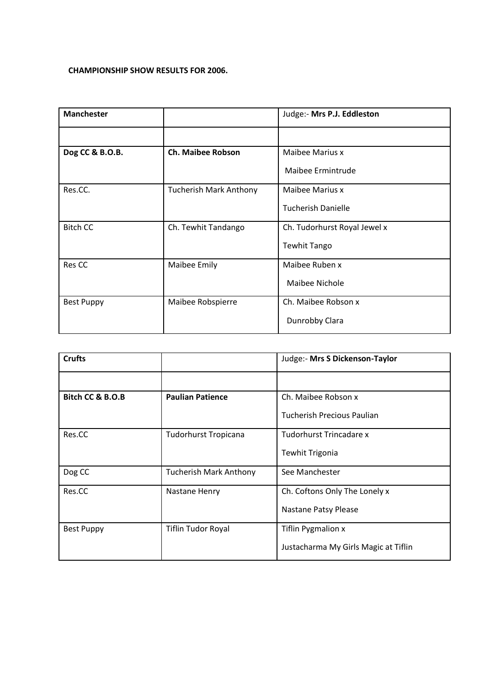## **CHAMPIONSHIP SHOW RESULTS FOR 2006.**

| <b>Manchester</b> |                               | Judge:- Mrs P.J. Eddleston   |
|-------------------|-------------------------------|------------------------------|
|                   |                               |                              |
| Dog CC & B.O.B.   | <b>Ch. Maibee Robson</b>      | Maibee Marius x              |
|                   |                               | Maibee Ermintrude            |
| Res.CC.           | <b>Tucherish Mark Anthony</b> | Maibee Marius x              |
|                   |                               | <b>Tucherish Danielle</b>    |
| <b>Bitch CC</b>   | Ch. Tewhit Tandango           | Ch. Tudorhurst Royal Jewel x |
|                   |                               | <b>Tewhit Tango</b>          |
| Res CC            | Maibee Emily                  | Maibee Ruben x               |
|                   |                               | Maibee Nichole               |
| <b>Best Puppy</b> | Maibee Robspierre             | Ch. Maibee Robson x          |
|                   |                               | Dunrobby Clara               |

| <b>Crufts</b>     |                               | Judge:- Mrs S Dickenson-Taylor       |
|-------------------|-------------------------------|--------------------------------------|
|                   |                               |                                      |
| Bitch CC & B.O.B  | <b>Paulian Patience</b>       | Ch. Maibee Robson x                  |
|                   |                               | Tucherish Precious Paulian           |
| Res.CC            | <b>Tudorhurst Tropicana</b>   | Tudorhurst Trincadare x              |
|                   |                               | <b>Tewhit Trigonia</b>               |
| Dog CC            | <b>Tucherish Mark Anthony</b> | See Manchester                       |
| Res.CC            | Nastane Henry                 | Ch. Coftons Only The Lonely x        |
|                   |                               | Nastane Patsy Please                 |
| <b>Best Puppy</b> | <b>Tiflin Tudor Royal</b>     | <b>Tiflin Pygmalion x</b>            |
|                   |                               | Justacharma My Girls Magic at Tiflin |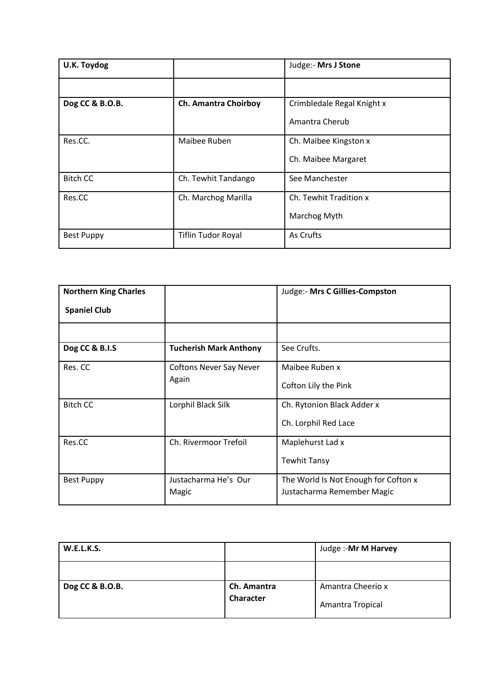| U.K. Toydog       |                             | Judge:- Mrs J Stone        |
|-------------------|-----------------------------|----------------------------|
|                   |                             |                            |
| Dog CC & B.O.B.   | <b>Ch. Amantra Choirboy</b> | Crimbledale Regal Knight x |
|                   |                             | Amantra Cherub             |
| Res.CC.           | Maibee Ruben                | Ch. Maibee Kingston x      |
|                   |                             | Ch. Maibee Margaret        |
| <b>Bitch CC</b>   | Ch. Tewhit Tandango         | See Manchester             |
| Res.CC            | Ch. Marchog Marilla         | Ch. Tewhit Tradition x     |
|                   |                             | Marchog Myth               |
| <b>Best Puppy</b> | <b>Tiflin Tudor Royal</b>   | As Crufts                  |

| <b>Northern King Charles</b> |                                | Judge:- Mrs C Gillies-Compston       |
|------------------------------|--------------------------------|--------------------------------------|
| <b>Spaniel Club</b>          |                                |                                      |
|                              |                                |                                      |
| Dog CC & B.I.S               | <b>Tucherish Mark Anthony</b>  | See Crufts.                          |
| Res. CC                      | <b>Coftons Never Say Never</b> | Maibee Ruben x                       |
|                              | Again                          | Cofton Lily the Pink                 |
| <b>Bitch CC</b>              | Lorphil Black Silk             | Ch. Rytonion Black Adder x           |
|                              |                                | Ch. Lorphil Red Lace                 |
| Res.CC                       | Ch. Rivermoor Trefoil          | Maplehurst Lad x                     |
|                              |                                | <b>Tewhit Tansy</b>                  |
| <b>Best Puppy</b>            | Justacharma He's Our           | The World Is Not Enough for Cofton x |
|                              | Magic                          | Justacharma Remember Magic           |

| <b>W.E.L.K.S.</b> |             | Judge :- Mr M Harvey |
|-------------------|-------------|----------------------|
|                   |             |                      |
| Dog CC & B.O.B.   | Ch. Amantra | Amantra Cheerio x    |
|                   | Character   | Amantra Tropical     |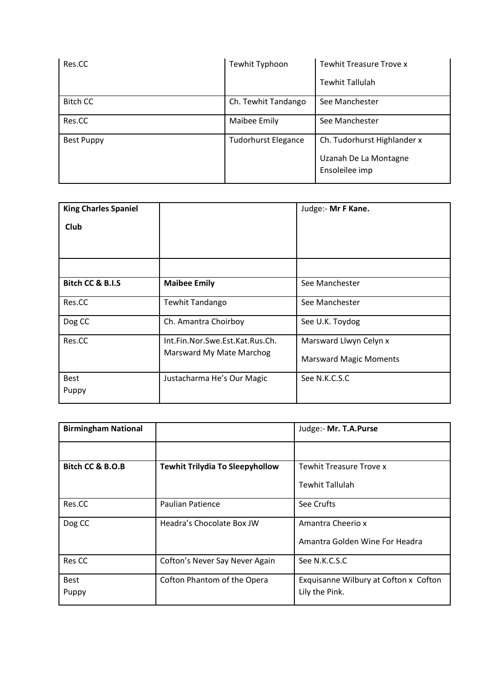| Res.CC            | Tewhit Typhoon             | <b>Tewhit Treasure Trove x</b>                                         |
|-------------------|----------------------------|------------------------------------------------------------------------|
|                   |                            | <b>Tewhit Tallulah</b>                                                 |
| <b>Bitch CC</b>   | Ch. Tewhit Tandango        | See Manchester                                                         |
| Res.CC            | Maibee Emily               | See Manchester                                                         |
| <b>Best Puppy</b> | <b>Tudorhurst Elegance</b> | Ch. Tudorhurst Highlander x<br>Uzanah De La Montagne<br>Ensoleilee imp |

| <b>King Charles Spaniel</b> |                                 | Judge:- Mr F Kane.            |
|-----------------------------|---------------------------------|-------------------------------|
| Club                        |                                 |                               |
|                             |                                 |                               |
|                             |                                 |                               |
| Bitch CC & B.I.S            | <b>Maibee Emily</b>             | See Manchester                |
| Res.CC                      | Tewhit Tandango                 | See Manchester                |
| Dog CC                      | Ch. Amantra Choirboy            | See U.K. Toydog               |
| Res.CC                      | Int.Fin.Nor.Swe.Est.Kat.Rus.Ch. | Marsward Llwyn Celyn x        |
|                             | Marsward My Mate Marchog        | <b>Marsward Magic Moments</b> |
| <b>Best</b>                 | Justacharma He's Our Magic      | See N.K.C.S.C                 |
| Puppy                       |                                 |                               |

| <b>Birmingham National</b> |                                        | Judge:- Mr. T.A.Purse                 |
|----------------------------|----------------------------------------|---------------------------------------|
|                            |                                        |                                       |
| Bitch CC & B.O.B           | <b>Tewhit Trilydia To Sleepyhollow</b> | Tewhit Treasure Trove x               |
|                            |                                        | Tewhit Tallulah                       |
| Res.CC                     | <b>Paulian Patience</b>                | See Crufts                            |
| Dog CC                     | Headra's Chocolate Box JW              | Amantra Cheerio x                     |
|                            |                                        | Amantra Golden Wine For Headra        |
| Res CC                     | Cofton's Never Say Never Again         | See N.K.C.S.C                         |
| <b>Best</b>                | Cofton Phantom of the Opera            | Exquisanne Wilbury at Cofton x Cofton |
| Puppy                      |                                        | Lily the Pink.                        |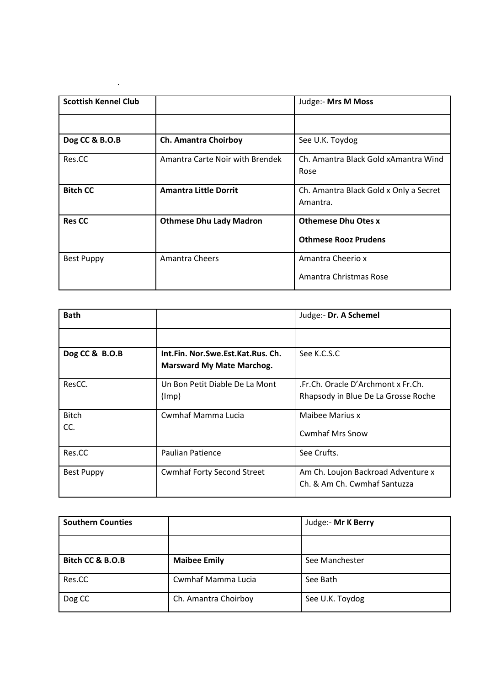|                                 | Judge:- Mrs M Moss                                 |
|---------------------------------|----------------------------------------------------|
|                                 |                                                    |
| Ch. Amantra Choirboy            | See U.K. Toydog                                    |
| Amantra Carte Noir with Brendek | Ch. Amantra Black Gold xAmantra Wind<br>Rose       |
| <b>Amantra Little Dorrit</b>    | Ch. Amantra Black Gold x Only a Secret<br>Amantra. |
| <b>Othmese Dhu Lady Madron</b>  | <b>Othemese Dhu Otes x</b>                         |
|                                 | <b>Othmese Rooz Prudens</b>                        |
| Amantra Cheers                  | Amantra Cheerio x<br>Amantra Christmas Rose        |
|                                 |                                                    |

.

| <b>Bath</b>         |                                                                       | Judge:- Dr. A Schemel                                                     |
|---------------------|-----------------------------------------------------------------------|---------------------------------------------------------------------------|
|                     |                                                                       |                                                                           |
| Dog CC & B.O.B      | Int.Fin. Nor.Swe.Est.Kat.Rus. Ch.<br><b>Marsward My Mate Marchog.</b> | See K.C.S.C                                                               |
| ResCC.              | Un Bon Petit Diable De La Mont<br>(lmp)                               | .Fr.Ch. Oracle D'Archmont x Fr.Ch.<br>Rhapsody in Blue De La Grosse Roche |
| <b>Bitch</b><br>CC. | Cwmhaf Mamma Lucia                                                    | Maibee Marius x<br><b>Cwmhaf Mrs Snow</b>                                 |
| Res.CC              | <b>Paulian Patience</b>                                               | See Crufts.                                                               |
| <b>Best Puppy</b>   | <b>Cwmhaf Forty Second Street</b>                                     | Am Ch. Loujon Backroad Adventure x<br>Ch. & Am Ch. Cwmhaf Santuzza        |

| <b>Southern Counties</b> |                      | Judge:- Mr K Berry |
|--------------------------|----------------------|--------------------|
|                          |                      |                    |
| Bitch CC & B.O.B         | <b>Maibee Emily</b>  | See Manchester     |
| Res.CC                   | Cwmhaf Mamma Lucia   | See Bath           |
| Dog CC                   | Ch. Amantra Choirboy | See U.K. Toydog    |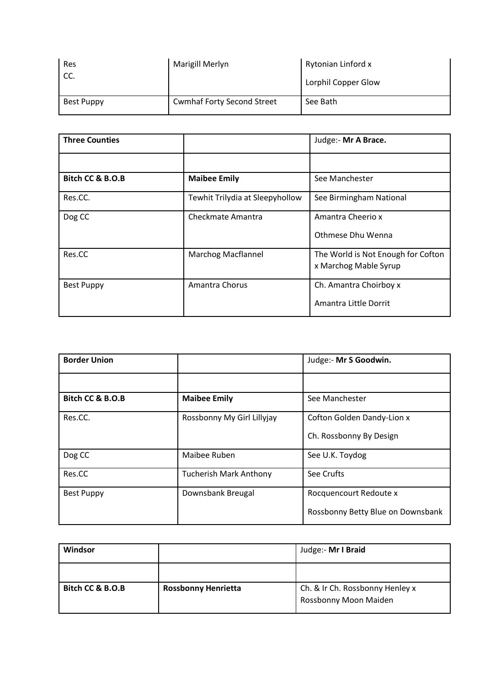| Res<br>CC. | Marigill Merlyn                   | Rytonian Linford x<br>Lorphil Copper Glow |
|------------|-----------------------------------|-------------------------------------------|
| Best Puppy | <b>Cwmhaf Forty Second Street</b> | See Bath                                  |

| <b>Three Counties</b> |                                 | Judge:- Mr A Brace.                |
|-----------------------|---------------------------------|------------------------------------|
|                       |                                 |                                    |
| Bitch CC & B.O.B      | <b>Maibee Emily</b>             | See Manchester                     |
| Res.CC.               | Tewhit Trilydia at Sleepyhollow | See Birmingham National            |
| Dog CC                | Checkmate Amantra               | Amantra Cheerio x                  |
|                       |                                 | Othmese Dhu Wenna                  |
| Res.CC                | <b>Marchog Macflannel</b>       | The World is Not Enough for Cofton |
|                       |                                 | x Marchog Mable Syrup              |
| <b>Best Puppy</b>     | Amantra Chorus                  | Ch. Amantra Choirboy x             |
|                       |                                 | Amantra Little Dorrit              |

| <b>Border Union</b> |                               | Judge:- Mr S Goodwin.             |
|---------------------|-------------------------------|-----------------------------------|
|                     |                               |                                   |
| Bitch CC & B.O.B    | <b>Maibee Emily</b>           | See Manchester                    |
| Res.CC.             | Rossbonny My Girl Lillyjay    | Cofton Golden Dandy-Lion x        |
|                     |                               | Ch. Rossbonny By Design           |
| Dog CC              | Maibee Ruben                  | See U.K. Toydog                   |
| Res.CC              | <b>Tucherish Mark Anthony</b> | See Crufts                        |
| <b>Best Puppy</b>   | Downsbank Breugal             | Rocquencourt Redoute x            |
|                     |                               | Rossbonny Betty Blue on Downsbank |

| Windsor          |                            | Judge:- Mr I Braid              |
|------------------|----------------------------|---------------------------------|
|                  |                            |                                 |
| Bitch CC & B.O.B | <b>Rossbonny Henrietta</b> | Ch. & Ir Ch. Rossbonny Henley x |
|                  |                            | Rossbonny Moon Maiden           |
|                  |                            |                                 |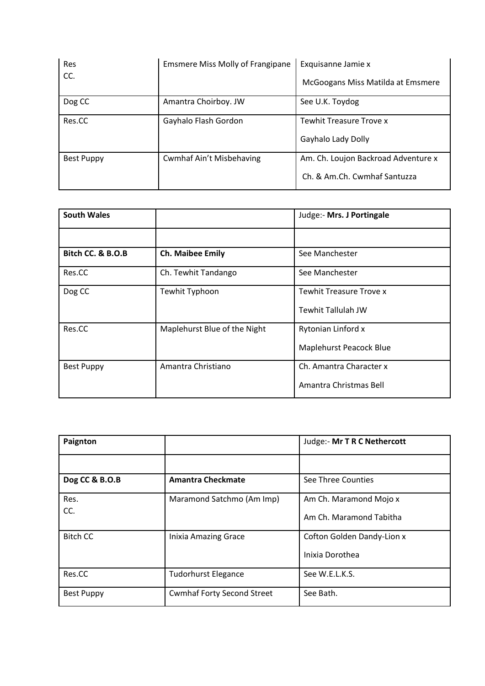| Res<br>CC. | <b>Emsmere Miss Molly of Frangipane</b> | Exquisanne Jamie x<br>McGoogans Miss Matilda at Emsmere             |
|------------|-----------------------------------------|---------------------------------------------------------------------|
| Dog CC     | Amantra Choirboy. JW                    | See U.K. Toydog                                                     |
| Res.CC     | Gayhalo Flash Gordon                    | <b>Tewhit Treasure Trove x</b><br>Gayhalo Lady Dolly                |
| Best Puppy | <b>Cwmhaf Ain't Misbehaving</b>         | Am. Ch. Loujon Backroad Adventure x<br>Ch. & Am.Ch. Cwmhaf Santuzza |

| <b>South Wales</b> |                              | Judge:- Mrs. J Portingale      |
|--------------------|------------------------------|--------------------------------|
|                    |                              |                                |
| Bitch CC. & B.O.B  | <b>Ch. Maibee Emily</b>      | See Manchester                 |
| Res.CC             | Ch. Tewhit Tandango          | See Manchester                 |
| Dog CC             | Tewhit Typhoon               | <b>Tewhit Treasure Trove x</b> |
|                    |                              | <b>Tewhit Tallulah JW</b>      |
| Res.CC             | Maplehurst Blue of the Night | Rytonian Linford x             |
|                    |                              | Maplehurst Peacock Blue        |
| <b>Best Puppy</b>  | Amantra Christiano           | Ch. Amantra Character x        |
|                    |                              | Amantra Christmas Bell         |

| Paignton          |                                   | Judge:- Mr T R C Nethercott                       |
|-------------------|-----------------------------------|---------------------------------------------------|
|                   |                                   |                                                   |
| Dog CC & B.O.B    | <b>Amantra Checkmate</b>          | See Three Counties                                |
| Res.<br>CC.       | Maramond Satchmo (Am Imp)         | Am Ch. Maramond Mojo x<br>Am Ch. Maramond Tabitha |
| <b>Bitch CC</b>   | <b>Inixia Amazing Grace</b>       | Cofton Golden Dandy-Lion x<br>Inixia Dorothea     |
| Res.CC            | <b>Tudorhurst Elegance</b>        | See W.E.L.K.S.                                    |
| <b>Best Puppy</b> | <b>Cwmhaf Forty Second Street</b> | See Bath.                                         |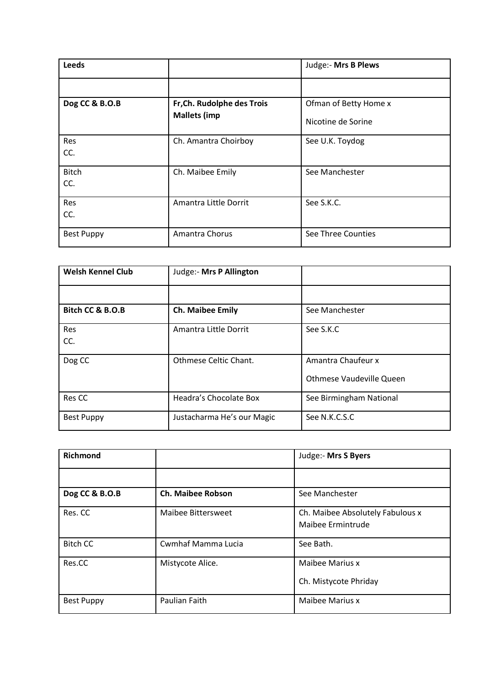| Leeds               |                            | Judge:- Mrs B Plews   |
|---------------------|----------------------------|-----------------------|
|                     |                            |                       |
| Dog CC & B.O.B      | Fr, Ch. Rudolphe des Trois | Ofman of Betty Home x |
|                     | <b>Mallets (imp</b>        | Nicotine de Sorine    |
| Res<br>CC.          | Ch. Amantra Choirboy       | See U.K. Toydog       |
| <b>Bitch</b><br>CC. | Ch. Maibee Emily           | See Manchester        |
| Res<br>CC.          | Amantra Little Dorrit      | See S.K.C.            |
| <b>Best Puppy</b>   | Amantra Chorus             | See Three Counties    |

| <b>Welsh Kennel Club</b> | Judge:- Mrs P Allington    |                                                |
|--------------------------|----------------------------|------------------------------------------------|
|                          |                            |                                                |
| Bitch CC & B.O.B         | <b>Ch. Maibee Emily</b>    | See Manchester                                 |
| Res<br>CC.               | Amantra Little Dorrit      | See S.K.C                                      |
| Dog CC                   | Othmese Celtic Chant.      | Amantra Chaufeur x<br>Othmese Vaudeville Queen |
| Res CC                   | Headra's Chocolate Box     | See Birmingham National                        |
| <b>Best Puppy</b>        | Justacharma He's our Magic | See N.K.C.S.C                                  |

| <b>Richmond</b>   |                          | Judge:- Mrs S Byers                                   |
|-------------------|--------------------------|-------------------------------------------------------|
|                   |                          |                                                       |
| Dog CC & B.O.B    | <b>Ch. Maibee Robson</b> | See Manchester                                        |
| Res. CC           | Maibee Bittersweet       | Ch. Maibee Absolutely Fabulous x<br>Maibee Ermintrude |
| <b>Bitch CC</b>   | Cwmhaf Mamma Lucia       | See Bath.                                             |
| Res.CC            | Mistycote Alice.         | Maibee Marius x<br>Ch. Mistycote Phriday              |
| <b>Best Puppy</b> | Paulian Faith            | <b>Maibee Marius x</b>                                |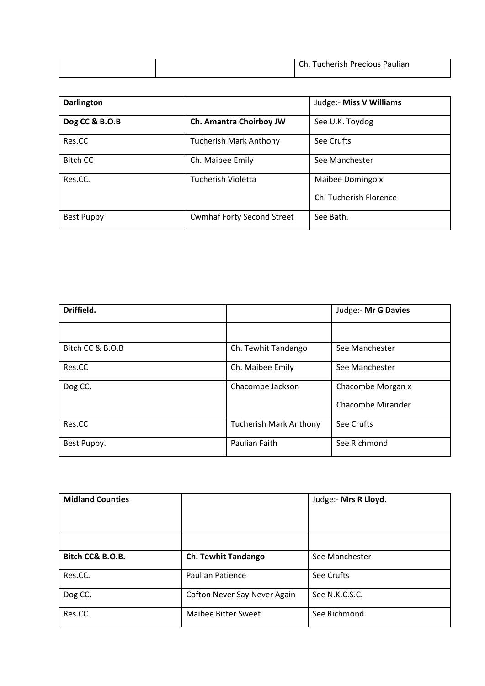|  | Ch. Tucherish Precious Paulian |
|--|--------------------------------|
|  |                                |

| <b>Darlington</b> |                                   | Judge:- Miss V Williams                    |
|-------------------|-----------------------------------|--------------------------------------------|
| Dog CC & B.O.B    | Ch. Amantra Choirboy JW           | See U.K. Toydog                            |
| Res.CC            | <b>Tucherish Mark Anthony</b>     | See Crufts                                 |
| <b>Bitch CC</b>   | Ch. Maibee Emily                  | See Manchester                             |
| Res.CC.           | <b>Tucherish Violetta</b>         | Maibee Domingo x<br>Ch. Tucherish Florence |
| <b>Best Puppy</b> | <b>Cwmhaf Forty Second Street</b> | See Bath.                                  |

| Driffield.       |                               | Judge:- Mr G Davies |
|------------------|-------------------------------|---------------------|
|                  |                               |                     |
| Bitch CC & B.O.B | Ch. Tewhit Tandango           | See Manchester      |
| Res.CC           | Ch. Maibee Emily              | See Manchester      |
| Dog CC.          | Chacombe Jackson              | Chacombe Morgan x   |
|                  |                               | Chacombe Mirander   |
| Res.CC           | <b>Tucherish Mark Anthony</b> | See Crufts          |
| Best Puppy.      | Paulian Faith                 | See Richmond        |

| <b>Midland Counties</b> |                              | Judge:- Mrs R Lloyd. |
|-------------------------|------------------------------|----------------------|
|                         |                              |                      |
| Bitch CC& B.O.B.        | <b>Ch. Tewhit Tandango</b>   | See Manchester       |
| Res.CC.                 | Paulian Patience             | See Crufts           |
| Dog CC.                 | Cofton Never Say Never Again | See N.K.C.S.C.       |
| Res.CC.                 | <b>Maibee Bitter Sweet</b>   | See Richmond         |